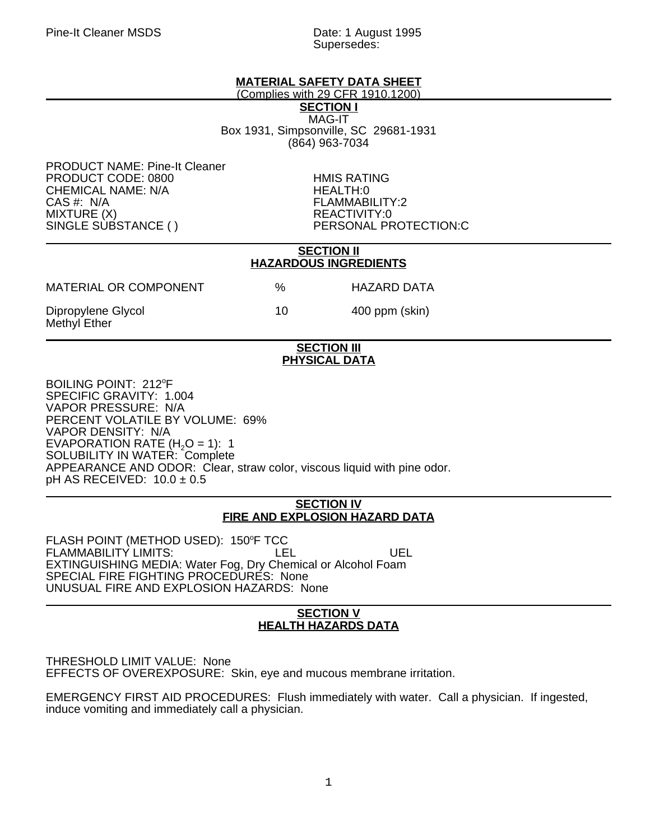Supersedes:

# **MATERIAL SAFETY DATA SHEET**

(Complies with 29 CFR 1910.1200)

**SECTION I** MAG-IT Box 1931, Simpsonville, SC 29681-1931 (864) 963-7034

PRODUCT NAME: Pine-It Cleaner PRODUCT CODE: 0800<br>CHEMICAL NAME: N/A<br>HEALTH:0 CHEMICAL NAME: N/A CAS #: N/A FLAMMABILITY:2 MIXTURE (X) REACTIVITY:0

PERSONAL PROTECTION:C

### **SECTION II HAZARDOUS INGREDIENTS**

| MATERIAL OR COMPONENT              | %  | HAZARD DATA    |
|------------------------------------|----|----------------|
| Dipropylene Glycol<br>Methyl Ether | 10 | 400 ppm (skin) |

### **SECTION III PHYSICAL DATA**

BOILING POINT: 212°F SPECIFIC GRAVITY: 1.004 VAPOR PRESSURE: N/A PERCENT VOLATILE BY VOLUME: 69% VAPOR DENSITY: N/A EVAPORATION RATE  $(H<sub>2</sub>O = 1)$ : 1 SOLUBILITY IN WATER: Complete APPEARANCE AND ODOR: Clear, straw color, viscous liquid with pine odor. pH AS RECEIVED: 10.0 ± 0.5

### **SECTION IV FIRE AND EXPLOSION HAZARD DATA**

FLASH POINT (METHOD USED): 150°F TCC FLAMMABILITY LIMITS: LEL LEL UEL EXTINGUISHING MEDIA: Water Fog, Dry Chemical or Alcohol Foam SPECIAL FIRE FIGHTING PROCEDURES: None UNUSUAL FIRE AND EXPLOSION HAZARDS: None

### **SECTION V HEALTH HAZARDS DATA**

THRESHOLD LIMIT VALUE: None EFFECTS OF OVEREXPOSURE: Skin, eye and mucous membrane irritation.

EMERGENCY FIRST AID PROCEDURES: Flush immediately with water. Call a physician. If ingested, induce vomiting and immediately call a physician.